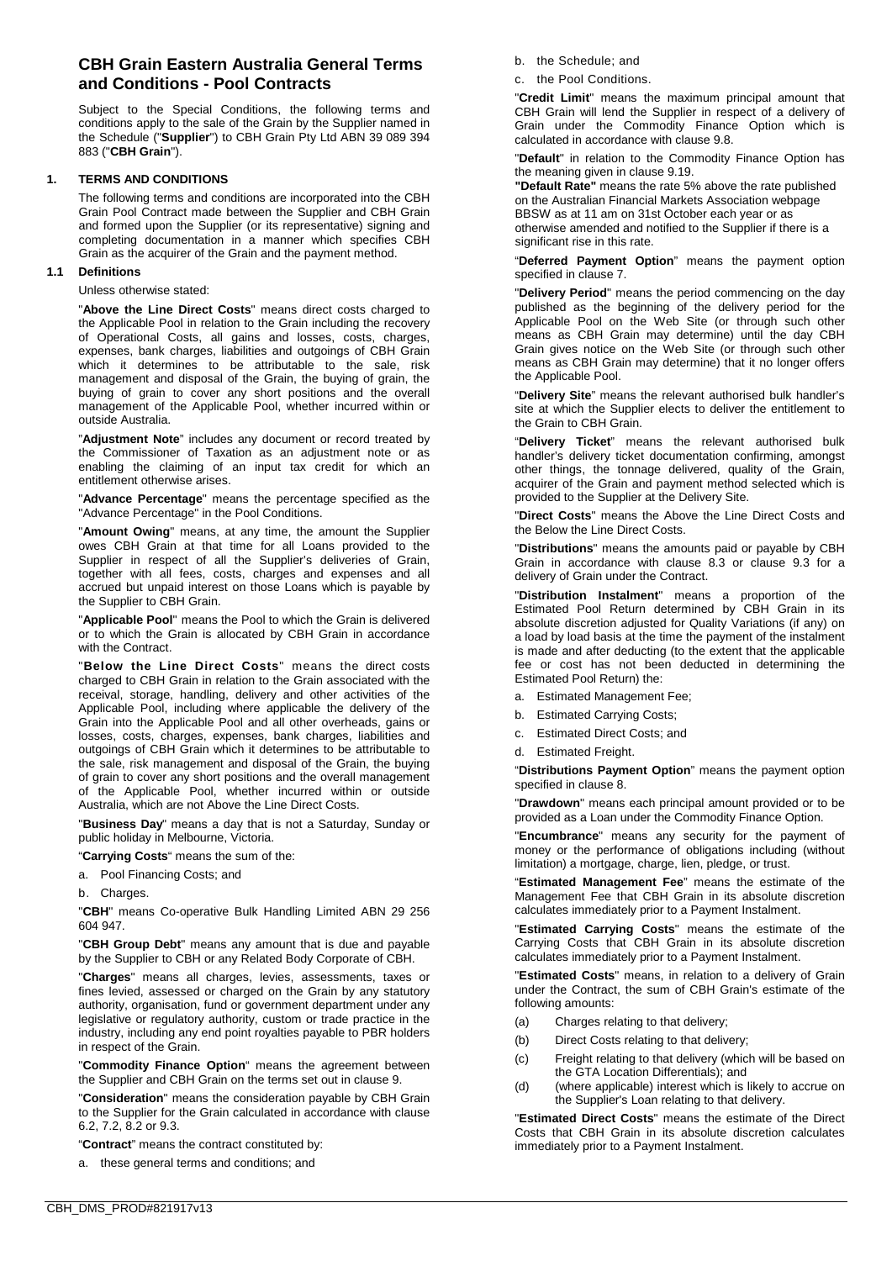# **CBH Grain Eastern Australia General Terms and Conditions - Pool Contracts**

Subject to the Special Conditions, the following terms and conditions apply to the sale of the Grain by the Supplier named in the Schedule ("**Supplier**") to CBH Grain Pty Ltd ABN 39 089 394 883 ("**CBH Grain**").

# **1. TERMS AND CONDITIONS**

The following terms and conditions are incorporated into the CBH Grain Pool Contract made between the Supplier and CBH Grain and formed upon the Supplier (or its representative) signing and completing documentation in a manner which specifies CBH Grain as the acquirer of the Grain and the payment method.

### **1.1 Definitions**

### Unless otherwise stated:

"**Above the Line Direct Costs**" means direct costs charged to the Applicable Pool in relation to the Grain including the recovery of Operational Costs, all gains and losses, costs, charges, expenses, bank charges, liabilities and outgoings of CBH Grain which it determines to be attributable to the sale, risk management and disposal of the Grain, the buying of grain, the buying of grain to cover any short positions and the overall management of the Applicable Pool, whether incurred within or outside Australia.

"**Adjustment Note**" includes any document or record treated by the Commissioner of Taxation as an adjustment note or as enabling the claiming of an input tax credit for which an entitlement otherwise arises.

"**Advance Percentage**" means the percentage specified as the "Advance Percentage" in the Pool Conditions.

"**Amount Owing**" means, at any time, the amount the Supplier owes CBH Grain at that time for all Loans provided to the Supplier in respect of all the Supplier's deliveries of Grain, together with all fees, costs, charges and expenses and all accrued but unpaid interest on those Loans which is payable by the Supplier to CBH Grain.

"**Applicable Pool**" means the Pool to which the Grain is delivered or to which the Grain is allocated by CBH Grain in accordance with the Contract.

"**Below the Line Direct Costs**" means the direct costs charged to CBH Grain in relation to the Grain associated with the receival, storage, handling, delivery and other activities of the Applicable Pool, including where applicable the delivery of the Grain into the Applicable Pool and all other overheads, gains or losses, costs, charges, expenses, bank charges, liabilities and outgoings of CBH Grain which it determines to be attributable to the sale, risk management and disposal of the Grain, the buying of grain to cover any short positions and the overall management of the Applicable Pool, whether incurred within or outside Australia, which are not Above the Line Direct Costs.

"**Business Day**" means a day that is not a Saturday, Sunday or public holiday in Melbourne, Victoria.

"**Carrying Costs**" means the sum of the:

- a. Pool Financing Costs; and
- b. Charges.

"**CBH**" means Co-operative Bulk Handling Limited ABN 29 256 604 947.

"**CBH Group Debt**" means any amount that is due and payable by the Supplier to CBH or any Related Body Corporate of CBH.

"**Charges**" means all charges, levies, assessments, taxes or fines levied, assessed or charged on the Grain by any statutory authority, organisation, fund or government department under any legislative or regulatory authority, custom or trade practice in the industry, including any end point royalties payable to PBR holders in respect of the Grain.

"**Commodity Finance Option**" means the agreement between the Supplier and CBH Grain on the terms set out in clause [9.](#page-4-0) 

"**Consideration**" means the consideration payable by CBH Grain to the Supplier for the Grain calculated in accordance with clause [6.2,](#page-3-0) [7.2,](#page-3-1) [8.2](#page-4-1) o[r 9.3.](#page-4-2)

"**Contract**" means the contract constituted by:

a. these general terms and conditions; and

b. the Schedule; and

c. the Pool Conditions.

"**Credit Limit**" means the maximum principal amount that CBH Grain will lend the Supplier in respect of a delivery of Grain under the Commodity Finance Option which is calculated in accordance with claus[e 9.8.](#page-4-3) 

"**Default**" in relation to the Commodity Finance Option has the meaning given in claus[e 9.19.](#page-5-0)

**"Default Rate"** means the rate 5% above the rate published on the Australian Financial Markets Association webpage BBSW as at 11 am on 31st October each year or as otherwise amended and notified to the Supplier if there is a significant rise in this rate.

"**Deferred Payment Option**" means the payment option specified in clause [7.](#page-3-2)

"**Delivery Period**" means the period commencing on the day published as the beginning of the delivery period for the Applicable Pool on the Web Site (or through such other means as CBH Grain may determine) until the day CBH Grain gives notice on the Web Site (or through such other means as CBH Grain may determine) that it no longer offers the Applicable Pool.

"**Delivery Site**" means the relevant authorised bulk handler's site at which the Supplier elects to deliver the entitlement to the Grain to CBH Grain.

"**Delivery Ticket**" means the relevant authorised bulk handler's delivery ticket documentation confirming, amongst other things, the tonnage delivered, quality of the Grain, acquirer of the Grain and payment method selected which is provided to the Supplier at the Delivery Site.

"**Direct Costs**" means the Above the Line Direct Costs and the Below the Line Direct Costs.

"**Distributions**" means the amounts paid or payable by CBH Grain in accordance with clause [8.3](#page-4-4) or clause [9.3](#page-4-2) for a delivery of Grain under the Contract.

"**Distribution Instalment**" means a proportion of the Estimated Pool Return determined by CBH Grain in its absolute discretion adjusted for Quality Variations (if any) on a load by load basis at the time the payment of the instalment is made and after deducting (to the extent that the applicable fee or cost has not been deducted in determining the Estimated Pool Return) the:

- a. Estimated Management Fee;
- b. Estimated Carrying Costs;
- c. Estimated Direct Costs; and
- d. Estimated Freight.

"**Distributions Payment Option**" means the payment option specified in clause [8.](#page-4-5)

"**Drawdown**" means each principal amount provided or to be provided as a Loan under the Commodity Finance Option.

"**Encumbrance**" means any security for the payment of money or the performance of obligations including (without limitation) a mortgage, charge, lien, pledge, or trust.

"**Estimated Management Fee**" means the estimate of the Management Fee that CBH Grain in its absolute discretion calculates immediately prior to a Payment Instalment.

"**Estimated Carrying Costs**" means the estimate of the Carrying Costs that CBH Grain in its absolute discretion calculates immediately prior to a Payment Instalment.

"**Estimated Costs**" means, in relation to a delivery of Grain under the Contract, the sum of CBH Grain's estimate of the following amounts:

- (a) Charges relating to that delivery;
- (b) Direct Costs relating to that delivery;
- (c) Freight relating to that delivery (which will be based on the GTA Location Differentials); and
- (d) (where applicable) interest which is likely to accrue on the Supplier's Loan relating to that delivery.

"**Estimated Direct Costs**" means the estimate of the Direct Costs that CBH Grain in its absolute discretion calculates immediately prior to a Payment Instalment.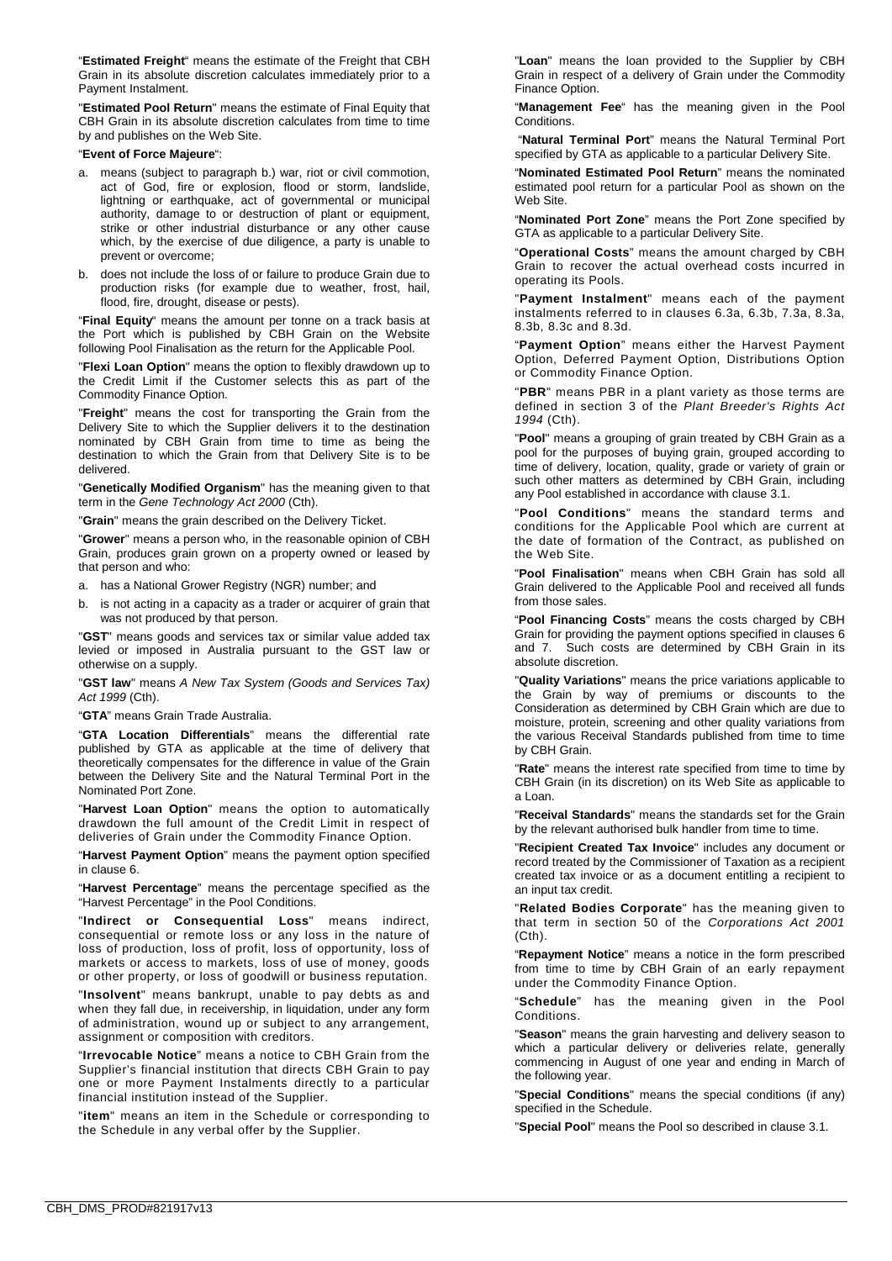"**Estimated Freight**" means the estimate of the Freight that CBH Grain in its absolute discretion calculates immediately prior to a Payment Instalment.

"**Estimated Pool Return**" means the estimate of Final Equity that CBH Grain in its absolute discretion calculates from time to time by and publishes on the Web Site.

#### "**Event of Force Majeure**":

- a. means (subject to paragraph b.) war, riot or civil commotion, act of God, fire or explosion, flood or storm, landslide, lightning or earthquake, act of governmental or municipal authority, damage to or destruction of plant or equipment, strike or other industrial disturbance or any other cause which, by the exercise of due diligence, a party is unable to prevent or overcome;
- b. does not include the loss of or failure to produce Grain due to production risks (for example due to weather, frost, hail, flood, fire, drought, disease or pests).

"**Final Equity**" means the amount per tonne on a track basis at the Port which is published by CBH Grain on the Website following Pool Finalisation as the return for the Applicable Pool.

"**Flexi Loan Option**" means the option to flexibly drawdown up to the Credit Limit if the Customer selects this as part of the Commodity Finance Option.

"**Freight**" means the cost for transporting the Grain from the Delivery Site to which the Supplier delivers it to the destination nominated by CBH Grain from time to time as being the destination to which the Grain from that Delivery Site is to be delivered.

"**Genetically Modified Organism**" has the meaning given to that term in the *Gene Technology Act 2000* (Cth).

"**Grain**" means the grain described on the Delivery Ticket.

"**Grower**" means a person who, in the reasonable opinion of CBH Grain, produces grain grown on a property owned or leased by that person and who:

- a. has a National Grower Registry (NGR) number; and
- b. is not acting in a capacity as a trader or acquirer of grain that was not produced by that person.

"**GST**" means goods and services tax or similar value added tax levied or imposed in Australia pursuant to the GST law or otherwise on a supply.

"**GST law**" means *A New Tax System (Goods and Services Tax) Act 1999* (Cth).

"**GTA**" means Grain Trade Australia.

"**GTA Location Differentials**" means the differential rate published by GTA as applicable at the time of delivery that theoretically compensates for the difference in value of the Grain between the Delivery Site and the Natural Terminal Port in the Nominated Port Zone.

"**Harvest Loan Option**" means the option to automatically drawdown the full amount of the Credit Limit in respect of deliveries of Grain under the Commodity Finance Option.

"**Harvest Payment Option**" means the payment option specified in claus[e 6.](#page-3-3)

"**Harvest Percentage**" means the percentage specified as the "Harvest Percentage" in the Pool Conditions.

"**Indirect or Consequential Loss**" means indirect, consequential or remote loss or any loss in the nature of loss of production, loss of profit, loss of opportunity, loss of markets or access to markets, loss of use of money, goods or other property, or loss of goodwill or business reputation.

"**Insolvent**" means bankrupt, unable to pay debts as and when they fall due, in receivership, in liquidation, under any form of administration, wound up or subject to any arrangement, assignment or composition with creditors.

"**Irrevocable Notice**" means a notice to CBH Grain from the Supplier's financial institution that directs CBH Grain to pay one or more Payment Instalments directly to a particular financial institution instead of the Supplier.

"**item**" means an item in the Schedule or corresponding to the Schedule in any verbal offer by the Supplier.

"**Loan**" means the loan provided to the Supplier by CBH Grain in respect of a delivery of Grain under the Commodity Finance Option.

"**Management Fee**" has the meaning given in the Pool **Conditions** 

"**Natural Terminal Port**" means the Natural Terminal Port specified by GTA as applicable to a particular Delivery Site.

"**Nominated Estimated Pool Return**" means the nominated estimated pool return for a particular Pool as shown on the Web Site.

"**Nominated Port Zone**" means the Port Zone specified by GTA as applicable to a particular Delivery Site.

"**Operational Costs**" means the amount charged by CBH Grain to recover the actual overhead costs incurred in operating its Pools.

"**Payment Instalment**" means each of the payment instalments referred to in clauses [6.3a,](#page-3-4) [6.3b,](#page-3-5) [7.3a,](#page-3-6) [8.3a,](#page-4-6) [8.3b,](#page-4-7) [8.3c](#page-4-8) and [8.3d.](#page-4-9)

"**Payment Option**" means either the Harvest Payment Option, Deferred Payment Option, Distributions Option or Commodity Finance Option.

"**PBR**" means PBR in a plant variety as those terms are defined in section 3 of the *Plant Breeder's Rights Act 1994* (Cth).

"**Pool**" means a grouping of grain treated by CBH Grain as a pool for the purposes of buying grain, grouped according to time of delivery, location, quality, grade or variety of grain or such other matters as determined by CBH Grain, including any Pool established in accordance with claus[e 3.1.](#page-2-0)

"**Pool Conditions**" means the standard terms and conditions for the Applicable Pool which are current at the date of formation of the Contract, as published on the Web Site.

"**Pool Finalisation**" means when CBH Grain has sold all Grain delivered to the Applicable Pool and received all funds from those sales.

"**Pool Financing Costs**" means the costs charged by CBH Grain for providing the payment options specified in clause[s 6](#page-3-3) and [7.](#page-3-2) Such costs are determined by CBH Grain in its absolute discretion.

"**Quality Variations**" means the price variations applicable to the Grain by way of premiums or discounts to the Consideration as determined by CBH Grain which are due to moisture, protein, screening and other quality variations from the various Receival Standards published from time to time by CBH Grain.

"**Rate**" means the interest rate specified from time to time by CBH Grain (in its discretion) on its Web Site as applicable to a Loan.

"**Receival Standards**" means the standards set for the Grain by the relevant authorised bulk handler from time to time.

"**Recipient Created Tax Invoice**" includes any document or record treated by the Commissioner of Taxation as a recipient created tax invoice or as a document entitling a recipient to an input tax credit.

"**Related Bodies Corporate**" has the meaning given to that term in section 50 of the *Corporations Act 2001* (Cth).

"**Repayment Notice**" means a notice in the form prescribed from time to time by CBH Grain of an early repayment under the Commodity Finance Option.

"**Schedule**" has the meaning given in the Pool Conditions.

"**Season**" means the grain harvesting and delivery season to which a particular delivery or deliveries relate, generally commencing in August of one year and ending in March of the following year.

"**Special Conditions**" means the special conditions (if any) specified in the Schedule.

"**Special Pool**" means the Pool so described in clause [3.1.](#page-2-0)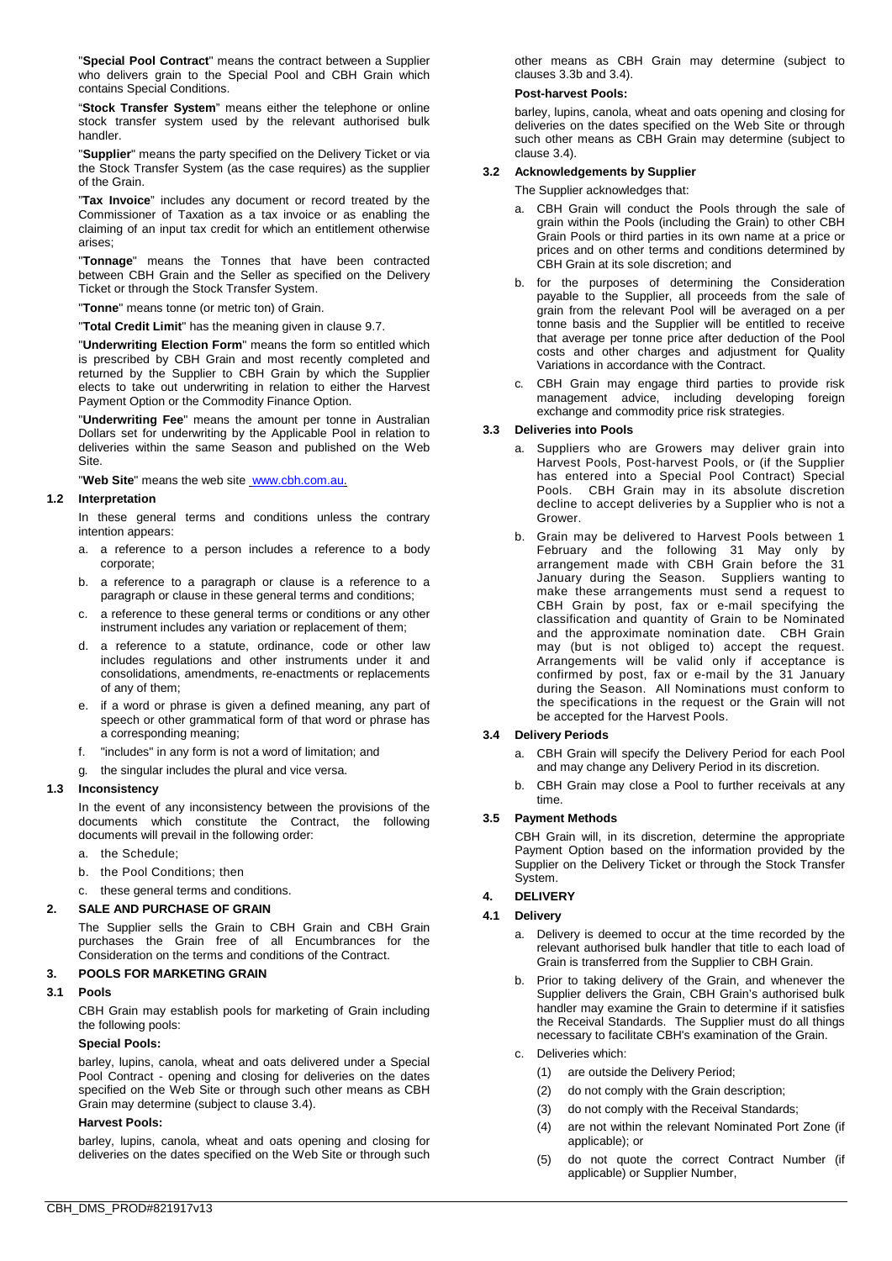"**Special Pool Contract**" means the contract between a Supplier who delivers grain to the Special Pool and CBH Grain which contains Special Conditions.

"**Stock Transfer System**" means either the telephone or online stock transfer system used by the relevant authorised bulk handler.

"**Supplier**" means the party specified on the Delivery Ticket or via the Stock Transfer System (as the case requires) as the supplier of the Grain.

"**Tax Invoice**" includes any document or record treated by the Commissioner of Taxation as a tax invoice or as enabling the claiming of an input tax credit for which an entitlement otherwise arises;

"**Tonnage**" means the Tonnes that have been contracted between CBH Grain and the Seller as specified on the Delivery Ticket or through the Stock Transfer System.

"**Tonne**" means tonne (or metric ton) of Grain.

"**Total Credit Limit**" has the meaning given in clause [9.7.](#page-4-10)

"**Underwriting Election Form**" means the form so entitled which is prescribed by CBH Grain and most recently completed and returned by the Supplier to CBH Grain by which the Supplier elects to take out underwriting in relation to either the Harvest Payment Option or the Commodity Finance Option.

"**Underwriting Fee**" means the amount per tonne in Australian Dollars set for underwriting by the Applicable Pool in relation to deliveries within the same Season and published on the Web **Site** 

"**Web Site**" means the web site [www.cbh.com.au.](http://www.cbh.com.au/) 

### **1.2 Interpretation**

In these general terms and conditions unless the contrary intention appears:

- a. a reference to a person includes a reference to a body corporate;
- b. a reference to a paragraph or clause is a reference to a paragraph or clause in these general terms and conditions;
- c. a reference to these general terms or conditions or any other instrument includes any variation or replacement of them;
- d. a reference to a statute, ordinance, code or other law includes regulations and other instruments under it and consolidations, amendments, re-enactments or replacements of any of them;
- e. if a word or phrase is given a defined meaning, any part of speech or other grammatical form of that word or phrase has a corresponding meaning;
- f. "includes" in any form is not a word of limitation; and
- g. the singular includes the plural and vice versa.

### **1.3 Inconsistency**

In the event of any inconsistency between the provisions of the documents which constitute the Contract, the following documents will prevail in the following order:

- a. the Schedule;
- b. the Pool Conditions; then
- c. these general terms and conditions.

### **2. SALE AND PURCHASE OF GRAIN**

The Supplier sells the Grain to CBH Grain and CBH Grain purchases the Grain free of all Encumbrances for the Consideration on the terms and conditions of the Contract.

### **3. POOLS FOR MARKETING GRAIN**

### <span id="page-2-0"></span>**3.1 Pools**

CBH Grain may establish pools for marketing of Grain including the following pools:

#### **Special Pools:**

barley, lupins, canola, wheat and oats delivered under a Special Pool Contract - opening and closing for deliveries on the dates specified on the Web Site or through such other means as CBH Grain may determine (subject to clause [3.4\)](#page-2-1).

### **Harvest Pools:**

barley, lupins, canola, wheat and oats opening and closing for deliveries on the dates specified on the Web Site or through such other means as CBH Grain may determine (subject to clauses [3.3b](#page-2-2) and [3.4\)](#page-2-1).

### **Post-harvest Pools:**

barley, lupins, canola, wheat and oats opening and closing for deliveries on the dates specified on the Web Site or through such other means as CBH Grain may determine (subject to clause [3.4\)](#page-2-1).

#### **3.2 Acknowledgements by Supplier**

The Supplier acknowledges that:

- a. CBH Grain will conduct the Pools through the sale of grain within the Pools (including the Grain) to other CBH Grain Pools or third parties in its own name at a price or prices and on other terms and conditions determined by CBH Grain at its sole discretion; and
- b. for the purposes of determining the Consideration payable to the Supplier, all proceeds from the sale of grain from the relevant Pool will be averaged on a per tonne basis and the Supplier will be entitled to receive that average per tonne price after deduction of the Pool costs and other charges and adjustment for Quality Variations in accordance with the Contract.
- c. CBH Grain may engage third parties to provide risk management advice, including developing foreign exchange and commodity price risk strategies.

### **3.3 Deliveries into Pools**

- a. Suppliers who are Growers may deliver grain into Harvest Pools, Post-harvest Pools, or (if the Supplier has entered into a Special Pool Contract) Special Pools. CBH Grain may in its absolute discretion decline to accept deliveries by a Supplier who is not a Grower.
- <span id="page-2-2"></span>b. Grain may be delivered to Harvest Pools between 1 February and the following 31 May only by arrangement made with CBH Grain before the 31 January during the Season. Suppliers wanting to make these arrangements must send a request to CBH Grain by post, fax or e-mail specifying the classification and quantity of Grain to be Nominated and the approximate nomination date. CBH Grain may (but is not obliged to) accept the request. Arrangements will be valid only if acceptance is confirmed by post, fax or e-mail by the 31 January during the Season. All Nominations must conform to the specifications in the request or the Grain will not be accepted for the Harvest Pools.

### <span id="page-2-1"></span>**3.4 Delivery Periods**

- a. CBH Grain will specify the Delivery Period for each Pool and may change any Delivery Period in its discretion.
- CBH Grain may close a Pool to further receivals at any time.

### **3.5 Payment Methods**

CBH Grain will, in its discretion, determine the appropriate Payment Option based on the information provided by the Supplier on the Delivery Ticket or through the Stock Transfer System.

# **4. DELIVERY**

# **4.1 Delivery**

- a. Delivery is deemed to occur at the time recorded by the relevant authorised bulk handler that title to each load of Grain is transferred from the Supplier to CBH Grain.
- b. Prior to taking delivery of the Grain, and whenever the Supplier delivers the Grain, CBH Grain's authorised bulk handler may examine the Grain to determine if it satisfies the Receival Standards. The Supplier must do all things necessary to facilitate CBH's examination of the Grain.
- c. Deliveries which:
	- (1) are outside the Delivery Period;
	- (2) do not comply with the Grain description;
	- (3) do not comply with the Receival Standards;
	- (4) are not within the relevant Nominated Port Zone (if applicable); or
	- (5) do not quote the correct Contract Number (if applicable) or Supplier Number,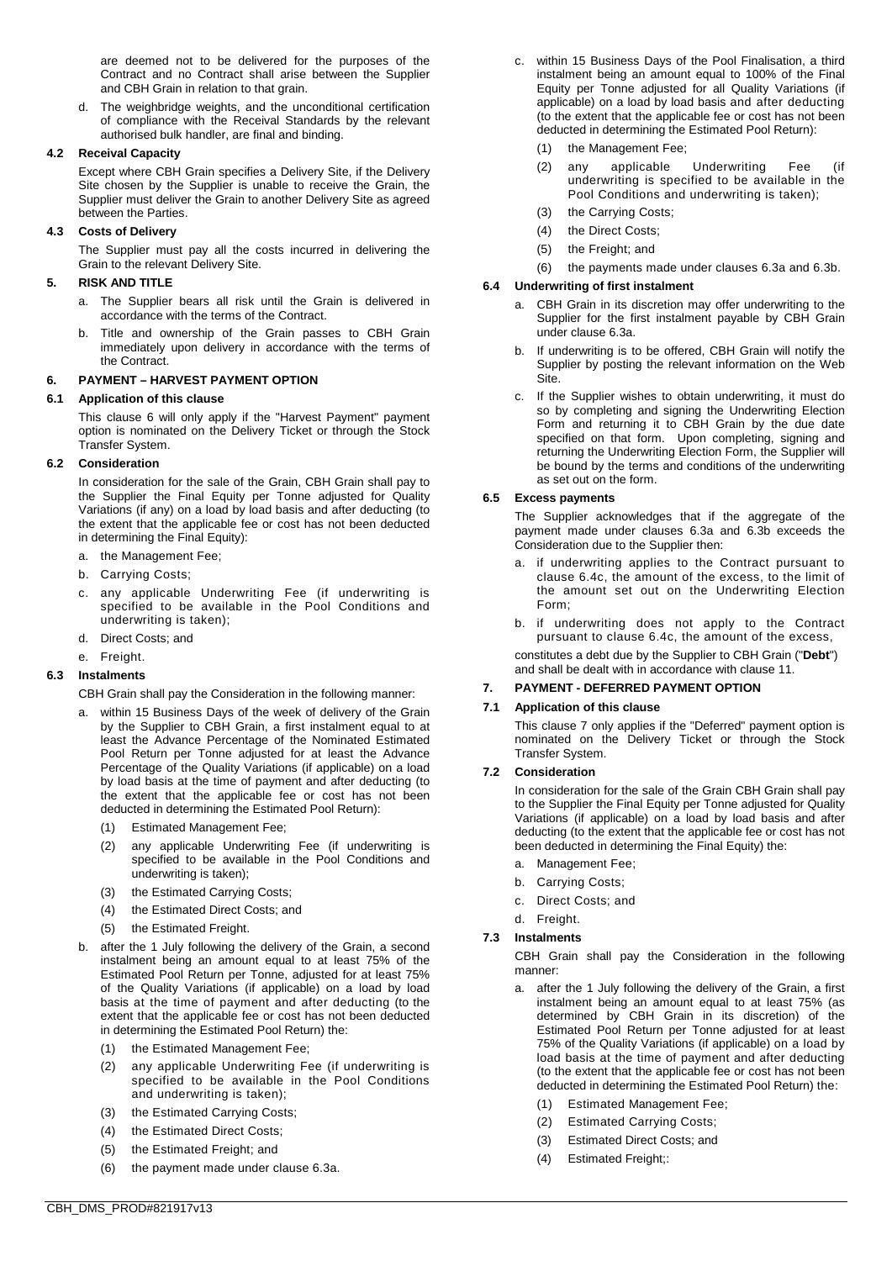are deemed not to be delivered for the purposes of the Contract and no Contract shall arise between the Supplier and CBH Grain in relation to that grain.

d. The weighbridge weights, and the unconditional certification of compliance with the Receival Standards by the relevant authorised bulk handler, are final and binding.

# **4.2 Receival Capacity**

Except where CBH Grain specifies a Delivery Site, if the Delivery Site chosen by the Supplier is unable to receive the Grain, the Supplier must deliver the Grain to another Delivery Site as agreed between the Parties.

# **4.3 Costs of Delivery**

The Supplier must pay all the costs incurred in delivering the Grain to the relevant Delivery Site.

### **5. RISK AND TITLE**

- a. The Supplier bears all risk until the Grain is delivered in accordance with the terms of the Contract.
- b. Title and ownership of the Grain passes to CBH Grain immediately upon delivery in accordance with the terms of the Contract.

# <span id="page-3-3"></span>**6. PAYMENT – HARVEST PAYMENT OPTION**

# **6.1 Application of this clause**

This clause [6](#page-3-3) will only apply if the "Harvest Payment" payment option is nominated on the Delivery Ticket or through the Stock Transfer System.

### <span id="page-3-0"></span>**6.2 Consideration**

In consideration for the sale of the Grain, CBH Grain shall pay to the Supplier the Final Equity per Tonne adjusted for Quality Variations (if any) on a load by load basis and after deducting (to the extent that the applicable fee or cost has not been deducted in determining the Final Equity):

- a. the Management Fee;
- b. Carrying Costs;
- c. any applicable Underwriting Fee (if underwriting is specified to be available in the Pool Conditions and underwriting is taken);
- d. Direct Costs; and

# e. Freight.

# <span id="page-3-4"></span>**6.3 Instalments**

CBH Grain shall pay the Consideration in the following manner:

- a. within 15 Business Days of the week of delivery of the Grain by the Supplier to CBH Grain, a first instalment equal to at least the Advance Percentage of the Nominated Estimated Pool Return per Tonne adjusted for at least the Advance Percentage of the Quality Variations (if applicable) on a load by load basis at the time of payment and after deducting (to the extent that the applicable fee or cost has not been deducted in determining the Estimated Pool Return):
	- (1) Estimated Management Fee;
	- (2) any applicable Underwriting Fee (if underwriting is specified to be available in the Pool Conditions and underwriting is taken);
	- (3) the Estimated Carrying Costs;
	- (4) the Estimated Direct Costs; and
	- (5) the Estimated Freight.
- <span id="page-3-5"></span>b. after the 1 July following the delivery of the Grain, a second instalment being an amount equal to at least 75% of the Estimated Pool Return per Tonne, adjusted for at least 75% of the Quality Variations (if applicable) on a load by load basis at the time of payment and after deducting (to the extent that the applicable fee or cost has not been deducted in determining the Estimated Pool Return) the:
	- (1) the Estimated Management Fee;
	- (2) any applicable Underwriting Fee (if underwriting is specified to be available in the Pool Conditions and underwriting is taken);
	- (3) the Estimated Carrying Costs;
	- (4) the Estimated Direct Costs;
	- (5) the Estimated Freight; and
	- (6) the payment made under clause [6.3a.](#page-3-4)
- c. within 15 Business Days of the Pool Finalisation, a third instalment being an amount equal to 100% of the Final Equity per Tonne adjusted for all Quality Variations (if applicable) on a load by load basis and after deducting (to the extent that the applicable fee or cost has not been deducted in determining the Estimated Pool Return):
	- (1) the Management Fee;
	- (2) any applicable Underwriting Fee (if underwriting is specified to be available in the Pool Conditions and underwriting is taken);
	- (3) the Carrying Costs;
	- (4) the Direct Costs;
	- (5) the Freight; and
	- (6) the payments made under clauses [6.3a](#page-3-4) and [6.3b.](#page-3-5)

# **6.4 Underwriting of first instalment**

- a. CBH Grain in its discretion may offer underwriting to the Supplier for the first instalment payable by CBH Grain under claus[e 6.3a.](#page-3-4)
- b. If underwriting is to be offered, CBH Grain will notify the Supplier by posting the relevant information on the Web Site.
- <span id="page-3-7"></span>c. If the Supplier wishes to obtain underwriting, it must do so by completing and signing the Underwriting Election Form and returning it to CBH Grain by the due date specified on that form. Upon completing, signing and returning the Underwriting Election Form, the Supplier will be bound by the terms and conditions of the underwriting as set out on the form.

# <span id="page-3-8"></span>**6.5 Excess payments**

The Supplier acknowledges that if the aggregate of the payment made under clauses [6.3a](#page-3-4) and [6.3b](#page-3-5) exceeds the Consideration due to the Supplier then:

- if underwriting applies to the Contract pursuant to clause [6.4c,](#page-3-7) the amount of the excess, to the limit of the amount set out on the Underwriting Election Form;
- b. if underwriting does not apply to the Contract pursuant to clause [6.4c,](#page-3-7) the amount of the excess,

constitutes a debt due by the Supplier to CBH Grain ("**Debt**") and shall be dealt with in accordance with claus[e 11.](#page-5-1)

# <span id="page-3-2"></span>**7. PAYMENT - DEFERRED PAYMENT OPTION**

## **7.1 Application of this clause**

This clause [7](#page-3-2) only applies if the "Deferred" payment option is nominated on the Delivery Ticket or through the Stock Transfer System.

### <span id="page-3-1"></span>**7.2 Consideration**

In consideration for the sale of the Grain CBH Grain shall pay to the Supplier the Final Equity per Tonne adjusted for Quality Variations (if applicable) on a load by load basis and after deducting (to the extent that the applicable fee or cost has not been deducted in determining the Final Equity) the:

- a. Management Fee;
- b. Carrying Costs;
- c. Direct Costs; and
- d. Freight.

# **7.3 Instalments**

CBH Grain shall pay the Consideration in the following manner:

- <span id="page-3-6"></span>after the 1 July following the delivery of the Grain, a first instalment being an amount equal to at least 75% (as determined by CBH Grain in its discretion) of the Estimated Pool Return per Tonne adjusted for at least 75% of the Quality Variations (if applicable) on a load by load basis at the time of payment and after deducting (to the extent that the applicable fee or cost has not been deducted in determining the Estimated Pool Return) the:
	- (1) Estimated Management Fee;
	- (2) Estimated Carrying Costs;
	- (3) Estimated Direct Costs; and
	- (4) Estimated Freight;: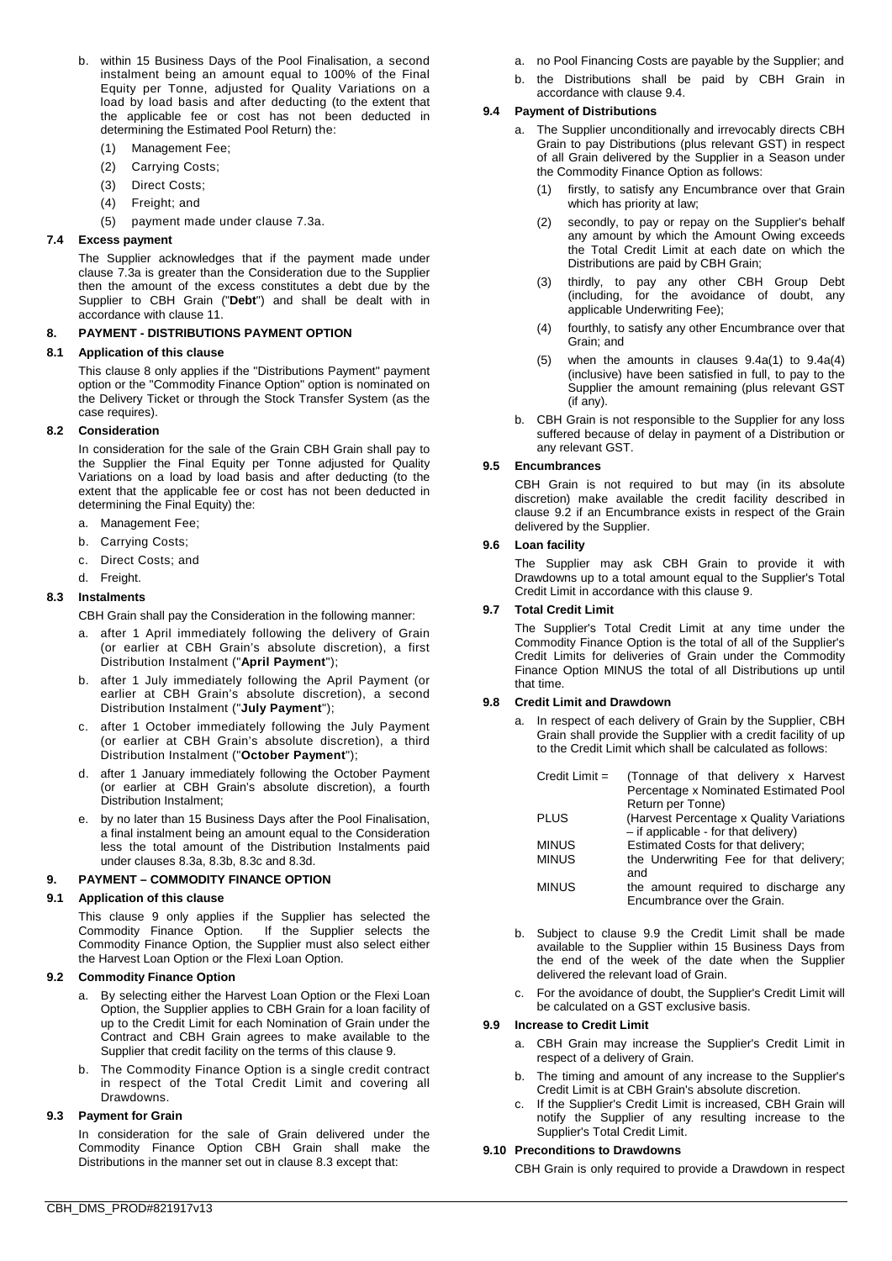- b. within 15 Business Days of the Pool Finalisation, a second instalment being an amount equal to 100% of the Final Equity per Tonne, adjusted for Quality Variations on a load by load basis and after deducting (to the extent that the applicable fee or cost has not been deducted in determining the Estimated Pool Return) the:
	- (1) Management Fee;
	- (2) Carrying Costs;
	- (3) Direct Costs;
	- (4) Freight; and
	- (5) payment made under clause [7.3a.](#page-3-6)

# <span id="page-4-18"></span>**7.4 Excess payment**

The Supplier acknowledges that if the payment made under clause [7.3a](#page-3-6) is greater than the Consideration due to the Supplier then the amount of the excess constitutes a debt due by the Supplier to CBH Grain ("**Debt**") and shall be dealt with in accordance with clause [11.](#page-5-1)

# <span id="page-4-5"></span>**8. PAYMENT - DISTRIBUTIONS PAYMENT OPTION**

### **8.1 Application of this clause**

This clause [8](#page-4-5) only applies if the "Distributions Payment" payment option or the "Commodity Finance Option" option is nominated on the Delivery Ticket or through the Stock Transfer System (as the case requires).

### <span id="page-4-1"></span>**8.2 Consideration**

In consideration for the sale of the Grain CBH Grain shall pay to the Supplier the Final Equity per Tonne adjusted for Quality Variations on a load by load basis and after deducting (to the extent that the applicable fee or cost has not been deducted in determining the Final Equity) the:

- a. Management Fee;
- b. Carrying Costs;
- c. Direct Costs; and
- d. Freight.

# <span id="page-4-4"></span>**8.3 Instalments**

CBH Grain shall pay the Consideration in the following manner:

- <span id="page-4-6"></span>a. after 1 April immediately following the delivery of Grain (or earlier at CBH Grain's absolute discretion), a first Distribution Instalment ("**April Payment**");
- <span id="page-4-7"></span>b. after 1 July immediately following the April Payment (or earlier at CBH Grain's absolute discretion), a second Distribution Instalment ("**July Payment**");
- <span id="page-4-8"></span>c. after 1 October immediately following the July Payment (or earlier at CBH Grain's absolute discretion), a third Distribution Instalment ("**October Payment**");
- <span id="page-4-9"></span>d. after 1 January immediately following the October Payment (or earlier at CBH Grain's absolute discretion), a fourth Distribution Instalment;
- by no later than 15 Business Days after the Pool Finalisation, a final instalment being an amount equal to the Consideration less the total amount of the Distribution Instalments paid under clause[s 8.3a,](#page-4-6) [8.3b,](#page-4-7) [8.3c](#page-4-8) and [8.3d.](#page-4-9)

### <span id="page-4-0"></span>**9. PAYMENT – COMMODITY FINANCE OPTION**

### **9.1 Application of this clause**

This clause [9](#page-4-0) only applies if the Supplier has selected the Commodity Finance Option. If the Supplier selects the If the Supplier selects the Commodity Finance Option, the Supplier must also select either the Harvest Loan Option or the Flexi Loan Option.

### <span id="page-4-14"></span>**9.2 Commodity Finance Option**

- a. By selecting either the Harvest Loan Option or the Flexi Loan Option, the Supplier applies to CBH Grain for a loan facility of up to the Credit Limit for each Nomination of Grain under the Contract and CBH Grain agrees to make available to the Supplier that credit facility on the terms of this clause [9.](#page-4-0)
- b. The Commodity Finance Option is a single credit contract in respect of the Total Credit Limit and covering all Drawdowns.

### <span id="page-4-2"></span>**9.3 Payment for Grain**

In consideration for the sale of Grain delivered under the Commodity Finance Option CBH Grain shall make the Distributions in the manner set out in clause [8.3](#page-4-4) except that:

- a. no Pool Financing Costs are payable by the Supplier; and
- b. the Distributions shall be paid by CBH Grain in accordance with claus[e 9.4.](#page-4-11)

# <span id="page-4-11"></span>**9.4 Payment of Distributions**

- <span id="page-4-16"></span><span id="page-4-12"></span>a. The Supplier unconditionally and irrevocably directs CBH Grain to pay Distributions (plus relevant GST) in respect of all Grain delivered by the Supplier in a Season under the Commodity Finance Option as follows:
	- (1) firstly, to satisfy any Encumbrance over that Grain which has priority at law;
	- (2) secondly, to pay or repay on the Supplier's behalf any amount by which the Amount Owing exceeds the Total Credit Limit at each date on which the Distributions are paid by CBH Grain;
	- (3) thirdly, to pay any other CBH Group Debt (including, for the avoidance of doubt, any applicable Underwriting Fee);
	- (4) fourthly, to satisfy any other Encumbrance over that Grain; and
	- (5) when the amounts in clauses [9.4a\(1\)](#page-4-12) to [9.4a\(4\)](#page-4-13) (inclusive) have been satisfied in full, to pay to the Supplier the amount remaining (plus relevant GST (if any).
- <span id="page-4-13"></span>b. CBH Grain is not responsible to the Supplier for any loss suffered because of delay in payment of a Distribution or any relevant GST.

# **9.5 Encumbrances**

CBH Grain is not required to but may (in its absolute discretion) make available the credit facility described in clause [9.2](#page-4-14) if an Encumbrance exists in respect of the Grain delivered by the Supplier.

# **9.6 Loan facility**

The Supplier may ask CBH Grain to provide it with Drawdowns up to a total amount equal to the Supplier's Total Credit Limit in accordance with this clause [9.](#page-4-0)

# <span id="page-4-10"></span>**9.7 Total Credit Limit**

The Supplier's Total Credit Limit at any time under the Commodity Finance Option is the total of all of the Supplier's Credit Limits for deliveries of Grain under the Commodity Finance Option MINUS the total of all Distributions up until that time.

### <span id="page-4-3"></span>**9.8 Credit Limit and Drawdown**

a. In respect of each delivery of Grain by the Supplier, CBH Grain shall provide the Supplier with a credit facility of up to the Credit Limit which shall be calculated as follows:

| Credit Limit $=$ | (Tonnage of that delivery x Harvest<br>Percentage x Nominated Estimated Pool |
|------------------|------------------------------------------------------------------------------|
|                  | Return per Tonne)                                                            |
| <b>PLUS</b>      | (Harvest Percentage x Quality Variations)                                    |
|                  | $-$ if applicable - for that delivery)                                       |
| <b>MINUS</b>     | Estimated Costs for that delivery;                                           |
| <b>MINUS</b>     | the Underwriting Fee for that delivery;                                      |
|                  | and                                                                          |
| <b>MINUS</b>     | the amount required to discharge any<br>Encumbrance over the Grain.          |
|                  |                                                                              |

- b. Subject to clause [9.9](#page-4-15) the Credit Limit shall be made available to the Supplier within 15 Business Days from the end of the week of the date when the Supplier delivered the relevant load of Grain.
- c. For the avoidance of doubt, the Supplier's Credit Limit will be calculated on a GST exclusive basis.

## <span id="page-4-15"></span>**9.9 Increase to Credit Limit**

- a. CBH Grain may increase the Supplier's Credit Limit in respect of a delivery of Grain.
- b. The timing and amount of any increase to the Supplier's Credit Limit is at CBH Grain's absolute discretion.
- c. If the Supplier's Credit Limit is increased, CBH Grain will notify the Supplier of any resulting increase to the Supplier's Total Credit Limit.

### <span id="page-4-17"></span>**9.10 Preconditions to Drawdowns**

CBH Grain is only required to provide a Drawdown in respect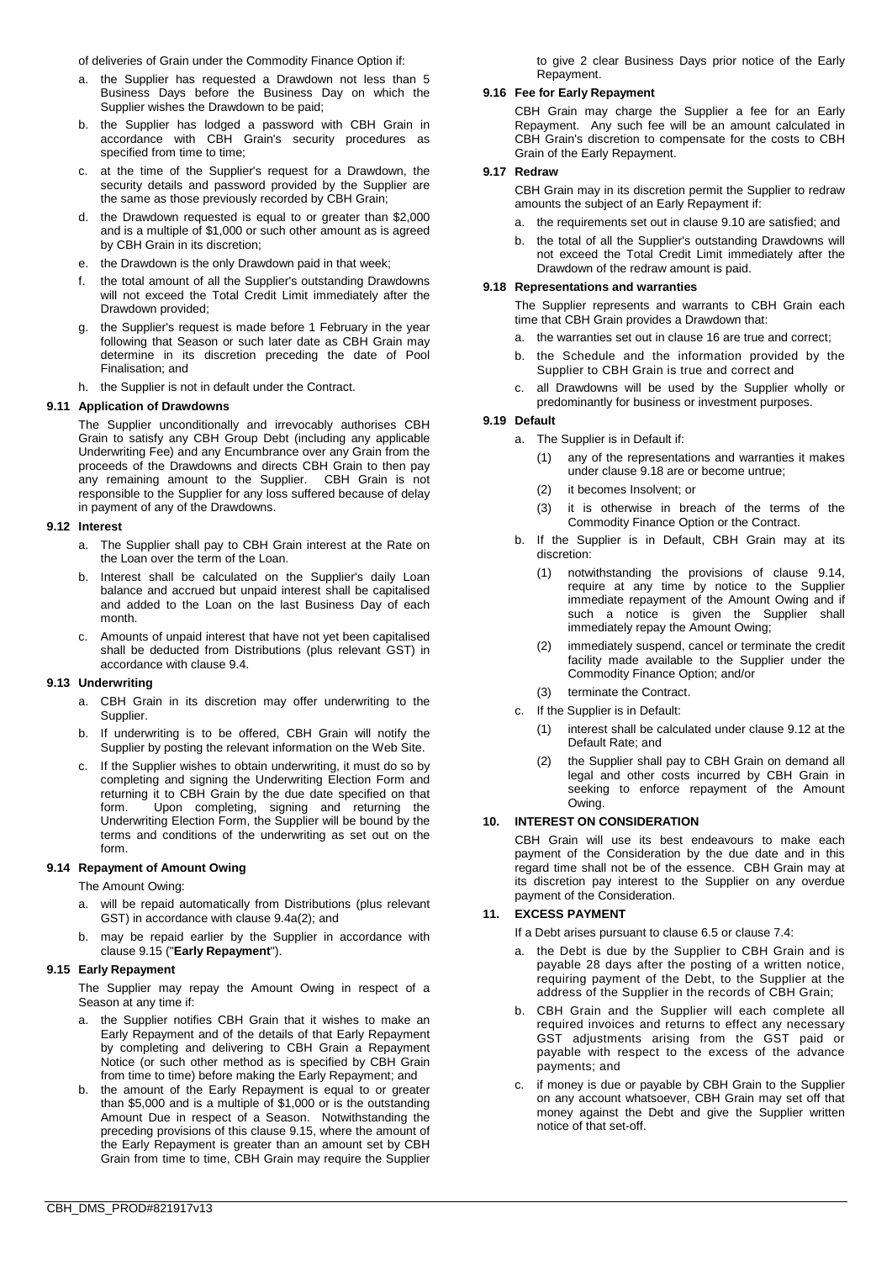of deliveries of Grain under the Commodity Finance Option if:

- a. the Supplier has requested a Drawdown not less than 5 Business Days before the Business Day on which the Supplier wishes the Drawdown to be paid;
- b. the Supplier has lodged a password with CBH Grain in accordance with CBH Grain's security procedures as specified from time to time;
- c. at the time of the Supplier's request for a Drawdown, the security details and password provided by the Supplier are the same as those previously recorded by CBH Grain;
- d. the Drawdown requested is equal to or greater than \$2,000 and is a multiple of \$1,000 or such other amount as is agreed by CBH Grain in its discretion;
- e. the Drawdown is the only Drawdown paid in that week;
- f. the total amount of all the Supplier's outstanding Drawdowns will not exceed the Total Credit Limit immediately after the Drawdown provided;
- g. the Supplier's request is made before 1 February in the year following that Season or such later date as CBH Grain may determine in its discretion preceding the date of Pool Finalisation; and
- h. the Supplier is not in default under the Contract.

# **9.11 Application of Drawdowns**

The Supplier unconditionally and irrevocably authorises CBH Grain to satisfy any CBH Group Debt (including any applicable Underwriting Fee) and any Encumbrance over any Grain from the proceeds of the Drawdowns and directs CBH Grain to then pay any remaining amount to the Supplier. CBH Grain is not responsible to the Supplier for any loss suffered because of delay in payment of any of the Drawdowns.

# <span id="page-5-5"></span>**9.12 Interest**

- a. The Supplier shall pay to CBH Grain interest at the Rate on the Loan over the term of the Loan.
- b. Interest shall be calculated on the Supplier's daily Loan balance and accrued but unpaid interest shall be capitalised and added to the Loan on the last Business Day of each month.
- c. Amounts of unpaid interest that have not yet been capitalised shall be deducted from Distributions (plus relevant GST) in accordance with clause [9.4.](#page-4-11)

### **9.13 Underwriting**

- a. CBH Grain in its discretion may offer underwriting to the Supplier.
- b. If underwriting is to be offered, CBH Grain will notify the Supplier by posting the relevant information on the Web Site.
- c. If the Supplier wishes to obtain underwriting, it must do so by completing and signing the Underwriting Election Form and returning it to CBH Grain by the due date specified on that form. Upon completing, signing and returning the Underwriting Election Form, the Supplier will be bound by the terms and conditions of the underwriting as set out on the form.

# <span id="page-5-4"></span>**9.14 Repayment of Amount Owing**

The Amount Owing:

- a. will be repaid automatically from Distributions (plus relevant GST) in accordance with clause [9.4a\(2\);](#page-4-16) and
- b. may be repaid earlier by the Supplier in accordance with claus[e 9.15](#page-5-2) ("**Early Repayment**").

# <span id="page-5-2"></span>**9.15 Early Repayment**

The Supplier may repay the Amount Owing in respect of a Season at any time if:

- a. the Supplier notifies CBH Grain that it wishes to make an Early Repayment and of the details of that Early Repayment by completing and delivering to CBH Grain a Repayment Notice (or such other method as is specified by CBH Grain from time to time) before making the Early Repayment; and
- b. the amount of the Early Repayment is equal to or greater than \$5,000 and is a multiple of \$1,000 or is the outstanding Amount Due in respect of a Season. Notwithstanding the preceding provisions of this clause [9.15,](#page-5-2) where the amount of the Early Repayment is greater than an amount set by CBH Grain from time to time, CBH Grain may require the Supplier

to give 2 clear Business Days prior notice of the Early Repayment.

# **9.16 Fee for Early Repayment**

CBH Grain may charge the Supplier a fee for an Early Repayment. Any such fee will be an amount calculated in CBH Grain's discretion to compensate for the costs to CBH Grain of the Early Repayment.

# **9.17 Redraw**

CBH Grain may in its discretion permit the Supplier to redraw amounts the subject of an Early Repayment if:

- a. the requirements set out in claus[e 9.10](#page-4-17) are satisfied; and
- b. the total of all the Supplier's outstanding Drawdowns will not exceed the Total Credit Limit immediately after the Drawdown of the redraw amount is paid.

# <span id="page-5-3"></span>**9.18 Representations and warranties**

The Supplier represents and warrants to CBH Grain each time that CBH Grain provides a Drawdown that:

- a. the warranties set out in claus[e 16](#page-6-0) are true and correct;
- b. the Schedule and the information provided by the Supplier to CBH Grain is true and correct and
- c. all Drawdowns will be used by the Supplier wholly or predominantly for business or investment purposes.

# <span id="page-5-0"></span>**9.19 Default**

- a. The Supplier is in Default if:
	- (1) any of the representations and warranties it makes under claus[e 9.18](#page-5-3) are or become untrue;
	- (2) it becomes Insolvent; or
	- (3) it is otherwise in breach of the terms of the Commodity Finance Option or the Contract.
- b. If the Supplier is in Default, CBH Grain may at its discretion:
	- (1) notwithstanding the provisions of clause [9.14,](#page-5-4) require at any time by notice to the Supplier immediate repayment of the Amount Owing and if such a notice is given the Supplier shall immediately repay the Amount Owing;
	- (2) immediately suspend, cancel or terminate the credit facility made available to the Supplier under the Commodity Finance Option; and/or
	- (3) terminate the Contract.
- c. If the Supplier is in Default:
	- (1) interest shall be calculated under clause [9.12](#page-5-5) at the Default Rate; and
	- (2) the Supplier shall pay to CBH Grain on demand all legal and other costs incurred by CBH Grain in seeking to enforce repayment of the Amount Owing.

# **10. INTEREST ON CONSIDERATION**

CBH Grain will use its best endeavours to make each payment of the Consideration by the due date and in this regard time shall not be of the essence. CBH Grain may at its discretion pay interest to the Supplier on any overdue payment of the Consideration.

# <span id="page-5-1"></span>**11. EXCESS PAYMENT**

If a Debt arises pursuant to clause [6.5](#page-3-8) or claus[e 7.4:](#page-4-18)

- a. the Debt is due by the Supplier to CBH Grain and is payable 28 days after the posting of a written notice, requiring payment of the Debt, to the Supplier at the address of the Supplier in the records of CBH Grain;
- b. CBH Grain and the Supplier will each complete all required invoices and returns to effect any necessary GST adjustments arising from the GST paid or payable with respect to the excess of the advance payments; and
- c. if money is due or payable by CBH Grain to the Supplier on any account whatsoever, CBH Grain may set off that money against the Debt and give the Supplier written notice of that set-off.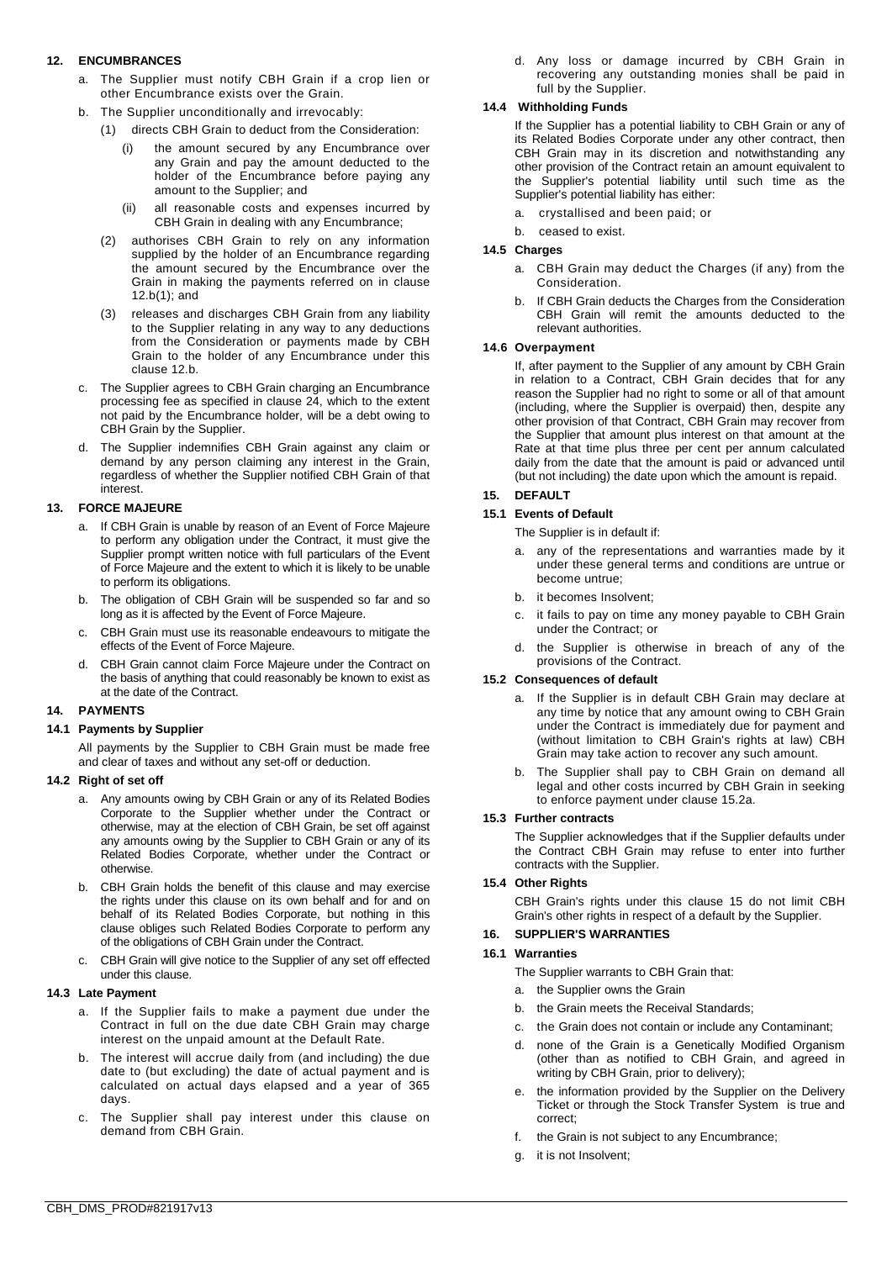# **12. ENCUMBRANCES**

- a. The Supplier must notify CBH Grain if a crop lien or other Encumbrance exists over the Grain.
- <span id="page-6-2"></span><span id="page-6-1"></span>b. The Supplier unconditionally and irrevocably:
	- (1) directs CBH Grain to deduct from the Consideration:
		- (i) the amount secured by any Encumbrance over any Grain and pay the amount deducted to the holder of the Encumbrance before paying any amount to the Supplier; and
		- (ii) all reasonable costs and expenses incurred by CBH Grain in dealing with any Encumbrance;
	- (2) authorises CBH Grain to rely on any information supplied by the holder of an Encumbrance regarding the amount secured by the Encumbrance over the Grain in making the payments referred on in clause [12.b\(1\);](#page-6-1) and
	- (3) releases and discharges CBH Grain from any liability to the Supplier relating in any way to any deductions from the Consideration or payments made by CBH Grain to the holder of any Encumbrance under this clause [12.b.](#page-6-2)
- c. The Supplier agrees to CBH Grain charging an Encumbrance processing fee as specified in clause [24,](#page-9-0) which to the extent not paid by the Encumbrance holder, will be a debt owing to CBH Grain by the Supplier.
- d. The Supplier indemnifies CBH Grain against any claim or demand by any person claiming any interest in the Grain, regardless of whether the Supplier notified CBH Grain of that interest.

# **13. FORCE MAJEURE**

- a. If CBH Grain is unable by reason of an Event of Force Majeure to perform any obligation under the Contract, it must give the Supplier prompt written notice with full particulars of the Event of Force Majeure and the extent to which it is likely to be unable to perform its obligations.
- b. The obligation of CBH Grain will be suspended so far and so long as it is affected by the Event of Force Majeure.
- c. CBH Grain must use its reasonable endeavours to mitigate the effects of the Event of Force Majeure.
- CBH Grain cannot claim Force Majeure under the Contract on the basis of anything that could reasonably be known to exist as at the date of the Contract.

# **14. PAYMENTS**

# **14.1 Payments by Supplier**

All payments by the Supplier to CBH Grain must be made free and clear of taxes and without any set-off or deduction.

### **14.2 Right of set off**

- a. Any amounts owing by CBH Grain or any of its Related Bodies Corporate to the Supplier whether under the Contract or otherwise, may at the election of CBH Grain, be set off against any amounts owing by the Supplier to CBH Grain or any of its Related Bodies Corporate, whether under the Contract or otherwise.
- b. CBH Grain holds the benefit of this clause and may exercise the rights under this clause on its own behalf and for and on behalf of its Related Bodies Corporate, but nothing in this clause obliges such Related Bodies Corporate to perform any of the obligations of CBH Grain under the Contract.
- c. CBH Grain will give notice to the Supplier of any set off effected under this clause.

### **14.3 Late Payment**

- a. If the Supplier fails to make a payment due under the Contract in full on the due date CBH Grain may charge interest on the unpaid amount at the Default Rate.
- The interest will accrue daily from (and including) the due date to (but excluding) the date of actual payment and is calculated on actual days elapsed and a year of 365 days.
- c. The Supplier shall pay interest under this clause on demand from CBH Grain.

d. Any loss or damage incurred by CBH Grain in recovering any outstanding monies shall be paid in full by the Supplier.

# **14.4 Withholding Funds**

If the Supplier has a potential liability to CBH Grain or any of its Related Bodies Corporate under any other contract, then CBH Grain may in its discretion and notwithstanding any other provision of the Contract retain an amount equivalent to the Supplier's potential liability until such time as the Supplier's potential liability has either:

- a. crystallised and been paid; or
- b. ceased to exist.

# **14.5 Charges**

- a. CBH Grain may deduct the Charges (if any) from the Consideration.
- b. If CBH Grain deducts the Charges from the Consideration CBH Grain will remit the amounts deducted to the relevant authorities.

# **14.6 Overpayment**

If, after payment to the Supplier of any amount by CBH Grain in relation to a Contract, CBH Grain decides that for any reason the Supplier had no right to some or all of that amount (including, where the Supplier is overpaid) then, despite any other provision of that Contract, CBH Grain may recover from the Supplier that amount plus interest on that amount at the Rate at that time plus three per cent per annum calculated daily from the date that the amount is paid or advanced until (but not including) the date upon which the amount is repaid.

# <span id="page-6-4"></span>**15. DEFAULT**

# **15.1 Events of Default**

The Supplier is in default if:

- a. any of the representations and warranties made by it under these general terms and conditions are untrue or become untrue;
- b. it becomes Insolvent;
- c. it fails to pay on time any money payable to CBH Grain under the Contract; or
- d. the Supplier is otherwise in breach of any of the provisions of the Contract.

### <span id="page-6-3"></span>**15.2 Consequences of default**

- a. If the Supplier is in default CBH Grain may declare at any time by notice that any amount owing to CBH Grain under the Contract is immediately due for payment and (without limitation to CBH Grain's rights at law) CBH Grain may take action to recover any such amount.
- b. The Supplier shall pay to CBH Grain on demand all legal and other costs incurred by CBH Grain in seeking to enforce payment under claus[e 15.2a.](#page-6-3)

### **15.3 Further contracts**

The Supplier acknowledges that if the Supplier defaults under the Contract CBH Grain may refuse to enter into further contracts with the Supplier.

### **15.4 Other Rights**

CBH Grain's rights under this clause [15](#page-6-4) do not limit CBH Grain's other rights in respect of a default by the Supplier.

### <span id="page-6-0"></span>**16. SUPPLIER'S WARRANTIES**

### <span id="page-6-5"></span>**16.1 Warranties**

The Supplier warrants to CBH Grain that:

- a. the Supplier owns the Grain
- b. the Grain meets the Receival Standards;
- c. the Grain does not contain or include any Contaminant;
- d. none of the Grain is a Genetically Modified Organism (other than as notified to CBH Grain, and agreed in writing by CBH Grain, prior to delivery);
- e. the information provided by the Supplier on the Delivery Ticket or through the Stock Transfer System is true and correct;
- f. the Grain is not subject to any Encumbrance;
- g. it is not Insolvent;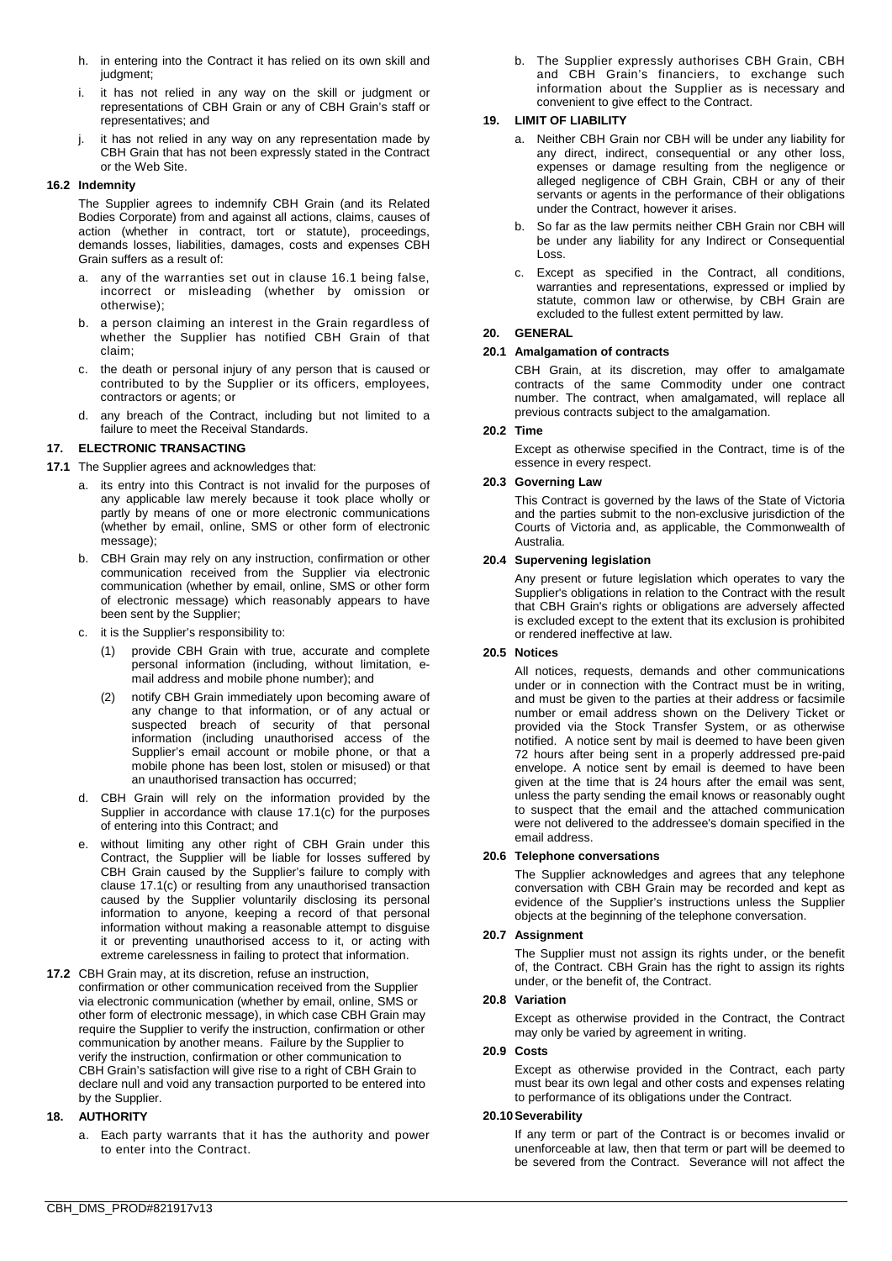- h. in entering into the Contract it has relied on its own skill and judgment;
- i. it has not relied in any way on the skill or judgment or representations of CBH Grain or any of CBH Grain's staff or representatives; and
- j. it has not relied in any way on any representation made by CBH Grain that has not been expressly stated in the Contract or the Web Site.

### **16.2 Indemnity**

The Supplier agrees to indemnify CBH Grain (and its Related Bodies Corporate) from and against all actions, claims, causes of action (whether in contract, tort or statute), proceedings, demands losses, liabilities, damages, costs and expenses CBH Grain suffers as a result of:

- a. any of the warranties set out in clause [16.1](#page-6-5) being false, incorrect or misleading (whether by omission or otherwise);
- b. a person claiming an interest in the Grain regardless of whether the Supplier has notified CBH Grain of that claim;
- c. the death or personal injury of any person that is caused or contributed to by the Supplier or its officers, employees, contractors or agents; or
- any breach of the Contract, including but not limited to a failure to meet the Receival Standards.

# **17. ELECTRONIC TRANSACTING**

- <span id="page-7-0"></span>**17.1** The Supplier agrees and acknowledges that:
	- a. its entry into this Contract is not invalid for the purposes of any applicable law merely because it took place wholly or partly by means of one or more electronic communications (whether by email, online, SMS or other form of electronic message);
	- b. CBH Grain may rely on any instruction, confirmation or other communication received from the Supplier via electronic communication (whether by email, online, SMS or other form of electronic message) which reasonably appears to have been sent by the Supplier;
	- c. it is the Supplier's responsibility to:
		- (1) provide CBH Grain with true, accurate and complete personal information (including, without limitation, email address and mobile phone number); and
		- (2) notify CBH Grain immediately upon becoming aware of any change to that information, or of any actual or suspected breach of security of that personal information (including unauthorised access of the Supplier's email account or mobile phone, or that a mobile phone has been lost, stolen or misused) or that an unauthorised transaction has occurred;
	- d. CBH Grain will rely on the information provided by the Supplier in accordance with clause [17.1\(](#page-7-0)c) for the purposes of entering into this Contract; and
	- e. without limiting any other right of CBH Grain under this Contract, the Supplier will be liable for losses suffered by CBH Grain caused by the Supplier's failure to comply with clause [17.1\(](#page-7-0)c) or resulting from any unauthorised transaction caused by the Supplier voluntarily disclosing its personal information to anyone, keeping a record of that personal information without making a reasonable attempt to disguise it or preventing unauthorised access to it, or acting with extreme carelessness in failing to protect that information.
- **17.2** CBH Grain may, at its discretion, refuse an instruction, confirmation or other communication received from the Supplier via electronic communication (whether by email, online, SMS or other form of electronic message), in which case CBH Grain may require the Supplier to verify the instruction, confirmation or other communication by another means. Failure by the Supplier to verify the instruction, confirmation or other communication to CBH Grain's satisfaction will give rise to a right of CBH Grain to declare null and void any transaction purported to be entered into by the Supplier.

# **18. AUTHORITY**

a. Each party warrants that it has the authority and power to enter into the Contract.

b. The Supplier expressly authorises CBH Grain, CBH and CBH Grain's financiers, to exchange such information about the Supplier as is necessary and convenient to give effect to the Contract.

# **19. LIMIT OF LIABILITY**

- a. Neither CBH Grain nor CBH will be under any liability for any direct, indirect, consequential or any other loss, expenses or damage resulting from the negligence or alleged negligence of CBH Grain, CBH or any of their servants or agents in the performance of their obligations under the Contract, however it arises.
- b. So far as the law permits neither CBH Grain nor CBH will be under any liability for any Indirect or Consequential Loss.
- c. Except as specified in the Contract, all conditions, warranties and representations, expressed or implied by statute, common law or otherwise, by CBH Grain are excluded to the fullest extent permitted by law.

# **20. GENERAL**

# **20.1 Amalgamation of contracts**

CBH Grain, at its discretion, may offer to amalgamate contracts of the same Commodity under one contract number. The contract, when amalgamated, will replace all previous contracts subject to the amalgamation.

### **20.2 Time**

Except as otherwise specified in the Contract, time is of the essence in every respect.

# **20.3 Governing Law**

This Contract is governed by the laws of the State of Victoria and the parties submit to the non-exclusive jurisdiction of the Courts of Victoria and, as applicable, the Commonwealth of Australia.

# **20.4 Supervening legislation**

Any present or future legislation which operates to vary the Supplier's obligations in relation to the Contract with the result that CBH Grain's rights or obligations are adversely affected is excluded except to the extent that its exclusion is prohibited or rendered ineffective at law.

# **20.5 Notices**

All notices, requests, demands and other communications under or in connection with the Contract must be in writing, and must be given to the parties at their address or facsimile number or email address shown on the Delivery Ticket or provided via the Stock Transfer System, or as otherwise notified. A notice sent by mail is deemed to have been given 72 hours after being sent in a properly addressed pre-paid envelope. A notice sent by email is deemed to have been given at the time that is 24 hours after the email was sent, unless the party sending the email knows or reasonably ought to suspect that the email and the attached communication were not delivered to the addressee's domain specified in the email address.

### **20.6 Telephone conversations**

The Supplier acknowledges and agrees that any telephone conversation with CBH Grain may be recorded and kept as evidence of the Supplier's instructions unless the Supplier objects at the beginning of the telephone conversation.

### **20.7 Assignment**

The Supplier must not assign its rights under, or the benefit of, the Contract. CBH Grain has the right to assign its rights under, or the benefit of, the Contract.

### **20.8 Variation**

Except as otherwise provided in the Contract, the Contract may only be varied by agreement in writing.

### **20.9 Costs**

Except as otherwise provided in the Contract, each party must bear its own legal and other costs and expenses relating to performance of its obligations under the Contract.

### **20.10Severability**

If any term or part of the Contract is or becomes invalid or unenforceable at law, then that term or part will be deemed to be severed from the Contract. Severance will not affect the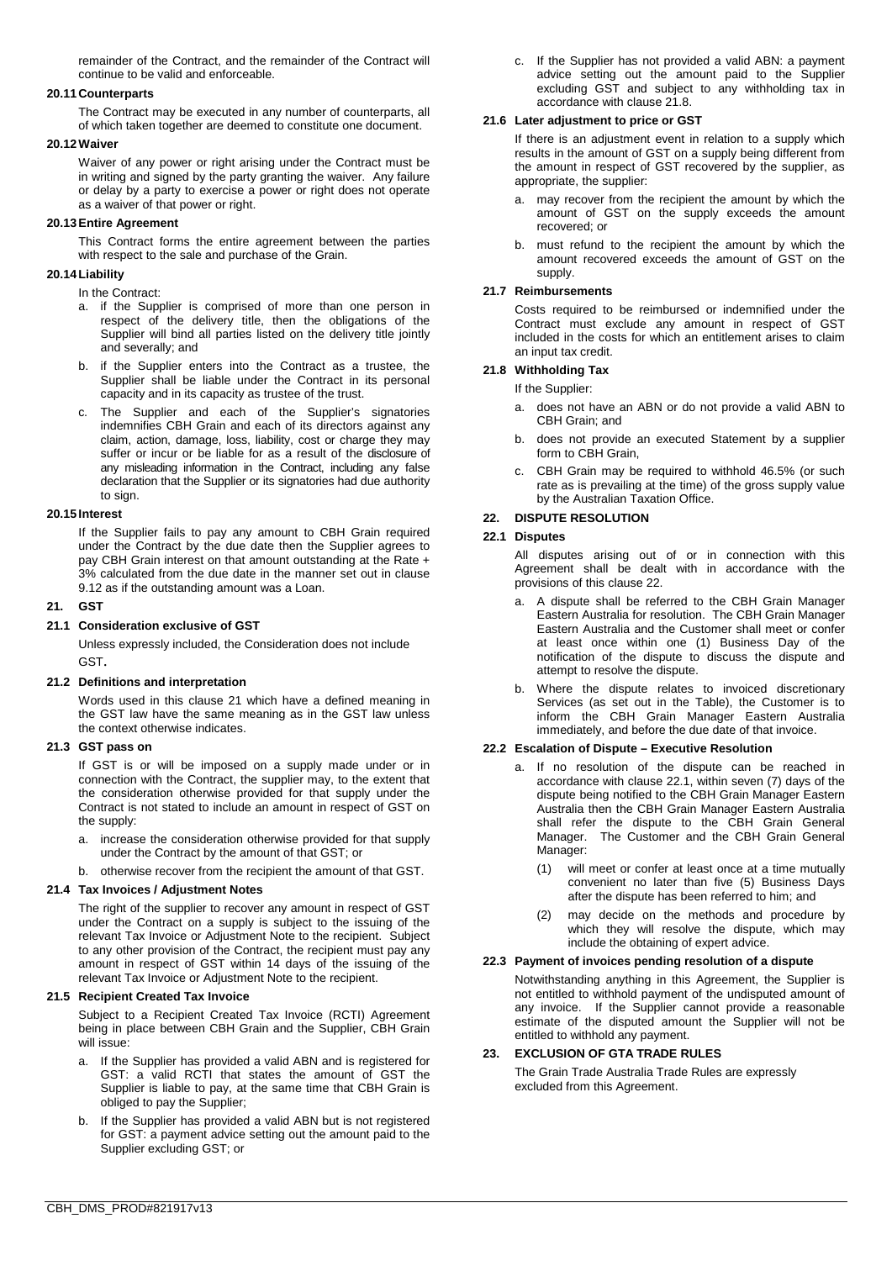remainder of the Contract, and the remainder of the Contract will continue to be valid and enforceable.

### **20.11 Counterparts**

The Contract may be executed in any number of counterparts, all of which taken together are deemed to constitute one document.

# **20.12Waiver**

Waiver of any power or right arising under the Contract must be in writing and signed by the party granting the waiver. Any failure or delay by a party to exercise a power or right does not operate as a waiver of that power or right.

# **20.13Entire Agreement**

This Contract forms the entire agreement between the parties with respect to the sale and purchase of the Grain.

# **20.14Liability**

In the Contract:

- a. if the Supplier is comprised of more than one person in respect of the delivery title, then the obligations of the Supplier will bind all parties listed on the delivery title jointly and severally; and
- b. if the Supplier enters into the Contract as a trustee, the Supplier shall be liable under the Contract in its personal capacity and in its capacity as trustee of the trust.
- c. The Supplier and each of the Supplier's signatories indemnifies CBH Grain and each of its directors against any claim, action, damage, loss, liability, cost or charge they may suffer or incur or be liable for as a result of the disclosure of any misleading information in the Contract, including any false declaration that the Supplier or its signatories had due authority to sign.

# **20.15 Interest**

If the Supplier fails to pay any amount to CBH Grain required under the Contract by the due date then the Supplier agrees to pay CBH Grain interest on that amount outstanding at the Rate + 3% calculated from the due date in the manner set out in clause [9.12](#page-5-5) as if the outstanding amount was a Loan.

# <span id="page-8-0"></span>**21. GST**

# **21.1 Consideration exclusive of GST**

Unless expressly included, the Consideration does not include GST.

# **21.2 Definitions and interpretation**

Words used in this clause [21](#page-8-0) which have a defined meaning in the GST law have the same meaning as in the GST law unless the context otherwise indicates.

# **21.3 GST pass on**

If GST is or will be imposed on a supply made under or in connection with the Contract, the supplier may, to the extent that the consideration otherwise provided for that supply under the Contract is not stated to include an amount in respect of GST on the supply:

- a. increase the consideration otherwise provided for that supply under the Contract by the amount of that GST; or
- b. otherwise recover from the recipient the amount of that GST.

### **21.4 Tax Invoices / Adjustment Notes**

The right of the supplier to recover any amount in respect of GST under the Contract on a supply is subject to the issuing of the relevant Tax Invoice or Adjustment Note to the recipient. Subject to any other provision of the Contract, the recipient must pay any amount in respect of GST within 14 days of the issuing of the relevant Tax Invoice or Adjustment Note to the recipient.

### **21.5 Recipient Created Tax Invoice**

Subject to a Recipient Created Tax Invoice (RCTI) Agreement being in place between CBH Grain and the Supplier, CBH Grain will issue:

- a. If the Supplier has provided a valid ABN and is registered for GST: a valid RCTI that states the amount of GST the Supplier is liable to pay, at the same time that CBH Grain is obliged to pay the Supplier;
- b. If the Supplier has provided a valid ABN but is not registered for GST: a payment advice setting out the amount paid to the Supplier excluding GST; or

c. If the Supplier has not provided a valid ABN: a payment advice setting out the amount paid to the Supplier excluding GST and subject to any withholding tax in accordance with clause [21.8.](#page-8-1)

### **21.6 Later adjustment to price or GST**

If there is an adjustment event in relation to a supply which results in the amount of GST on a supply being different from the amount in respect of GST recovered by the supplier, as appropriate, the supplier:

- a. may recover from the recipient the amount by which the amount of GST on the supply exceeds the amount recovered; or
- b. must refund to the recipient the amount by which the amount recovered exceeds the amount of GST on the supply.

# **21.7 Reimbursements**

Costs required to be reimbursed or indemnified under the Contract must exclude any amount in respect of GST included in the costs for which an entitlement arises to claim an input tax credit.

# <span id="page-8-1"></span>**21.8 Withholding Tax**

- If the Supplier:
- a. does not have an ABN or do not provide a valid ABN to CBH Grain; and
- b. does not provide an executed Statement by a supplier form to CBH Grain.
- c. CBH Grain may be required to withhold 46.5% (or such rate as is prevailing at the time) of the gross supply value by the Australian Taxation Office.

# <span id="page-8-2"></span>**22. DISPUTE RESOLUTION**

# <span id="page-8-3"></span>**22.1 Disputes**

All disputes arising out of or in connection with this Agreement shall be dealt with in accordance with the provisions of this claus[e 22.](#page-8-2)

- a. A dispute shall be referred to the CBH Grain Manager Eastern Australia for resolution. The CBH Grain Manager Eastern Australia and the Customer shall meet or confer at least once within one (1) Business Day of the notification of the dispute to discuss the dispute and attempt to resolve the dispute.
- b. Where the dispute relates to invoiced discretionary Services (as set out in the Table), the Customer is to inform the CBH Grain Manager Eastern Australia immediately, and before the due date of that invoice.

# **22.2 Escalation of Dispute – Executive Resolution**

- a. If no resolution of the dispute can be reached in accordance with clause [22.1,](#page-8-3) within seven (7) days of the dispute being notified to the CBH Grain Manager Eastern Australia then the CBH Grain Manager Eastern Australia shall refer the dispute to the CBH Grain General Manager. The Customer and the CBH Grain General Manager:
	- (1) will meet or confer at least once at a time mutually convenient no later than five (5) Business Days after the dispute has been referred to him; and
	- (2) may decide on the methods and procedure by which they will resolve the dispute, which may include the obtaining of expert advice.

### **22.3 Payment of invoices pending resolution of a dispute**

Notwithstanding anything in this Agreement, the Supplier is not entitled to withhold payment of the undisputed amount of any invoice. If the Supplier cannot provide a reasonable estimate of the disputed amount the Supplier will not be entitled to withhold any payment.

# **23. EXCLUSION OF GTA TRADE RULES**

The Grain Trade Australia Trade Rules are expressly excluded from this Agreement.